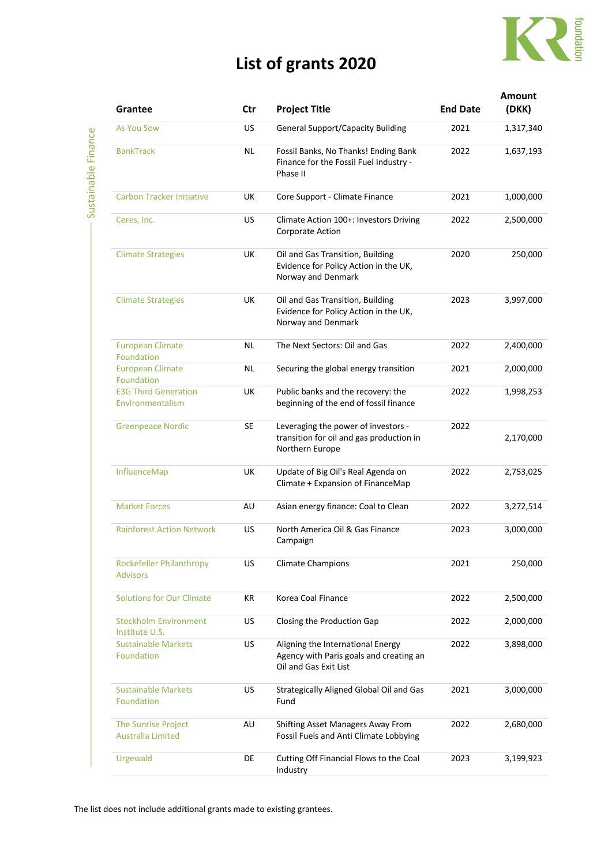

## **List of grants 2020**

| l |
|---|
|   |
|   |
|   |
|   |
|   |
|   |
|   |
|   |
|   |
|   |
|   |
|   |
|   |
|   |
|   |
|   |
|   |
|   |
|   |

| Grantee                                            | Ctr | <b>Project Title</b>                                                                                  | <b>End Date</b> | <b>Amount</b><br>(DKK) |
|----------------------------------------------------|-----|-------------------------------------------------------------------------------------------------------|-----------------|------------------------|
| <b>As You Sow</b>                                  | US  | <b>General Support/Capacity Building</b>                                                              | 2021            | 1,317,340              |
| <b>BankTrack</b>                                   | NL  | Fossil Banks, No Thanks! Ending Bank<br>Finance for the Fossil Fuel Industry -<br>Phase II            | 2022            | 1,637,193              |
| <b>Carbon Tracker Initiative</b>                   | UK  | Core Support - Climate Finance                                                                        | 2021            | 1,000,000              |
| Ceres, Inc.                                        | US  | Climate Action 100+: Investors Driving<br>Corporate Action                                            | 2022            | 2,500,000              |
| <b>Climate Strategies</b>                          | UK  | Oil and Gas Transition, Building<br>Evidence for Policy Action in the UK,<br>Norway and Denmark       | 2020            | 250,000                |
| <b>Climate Strategies</b>                          | UK  | Oil and Gas Transition, Building<br>Evidence for Policy Action in the UK,<br>Norway and Denmark       | 2023            | 3,997,000              |
| <b>European Climate</b><br>Foundation              | NL  | The Next Sectors: Oil and Gas                                                                         | 2022            | 2,400,000              |
| <b>European Climate</b><br>Foundation              | ΝL  | Securing the global energy transition                                                                 | 2021            | 2,000,000              |
| <b>E3G Third Generation</b><br>Environmentalism    | UK  | Public banks and the recovery: the<br>beginning of the end of fossil finance                          | 2022            | 1,998,253              |
| <b>Greenpeace Nordic</b>                           | SE  | Leveraging the power of investors -<br>transition for oil and gas production in<br>Northern Europe    | 2022            | 2,170,000              |
| InfluenceMap                                       | UK  | Update of Big Oil's Real Agenda on<br>Climate + Expansion of FinanceMap                               | 2022            | 2,753,025              |
| <b>Market Forces</b>                               | AU  | Asian energy finance: Coal to Clean                                                                   | 2022            | 3,272,514              |
| <b>Rainforest Action Network</b>                   | US  | North America Oil & Gas Finance<br>Campaign                                                           | 2023            | 3,000,000              |
| <b>Rockefeller Philanthropy</b><br><b>Advisors</b> | US  | <b>Climate Champions</b>                                                                              | 2021            | 250,000                |
| <b>Solutions for Our Climate</b>                   | KR  | Korea Coal Finance                                                                                    | 2022            | 2,500,000              |
| <b>Stockholm Environment</b><br>Institute U.S.     | US  | Closing the Production Gap                                                                            | 2022            | 2,000,000              |
| <b>Sustainable Markets</b><br>Foundation           | US  | Aligning the International Energy<br>Agency with Paris goals and creating an<br>Oil and Gas Exit List | 2022            | 3,898,000              |
| <b>Sustainable Markets</b><br>Foundation           | US  | Strategically Aligned Global Oil and Gas<br>Fund                                                      | 2021            | 3,000,000              |
| The Sunrise Project<br><b>Australia Limited</b>    | AU  | Shifting Asset Managers Away From<br>Fossil Fuels and Anti Climate Lobbying                           | 2022            | 2,680,000              |
| Urgewald                                           | DE  | Cutting Off Financial Flows to the Coal<br>Industry                                                   | 2023            | 3,199,923              |
|                                                    |     |                                                                                                       |                 |                        |